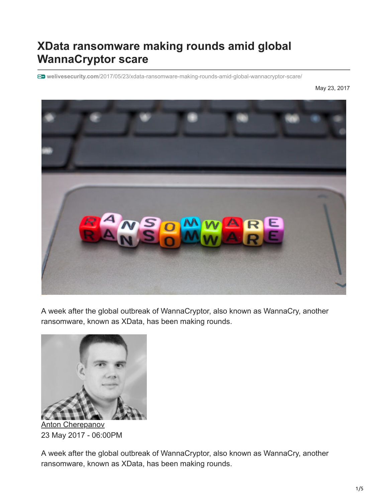## **XData ransomware making rounds amid global WannaCryptor scare**

**welivesecurity.com**[/2017/05/23/xdata-ransomware-making-rounds-amid-global-wannacryptor-scare/](https://www.welivesecurity.com/2017/05/23/xdata-ransomware-making-rounds-amid-global-wannacryptor-scare/)

May 23, 2017



A week after the global outbreak of WannaCryptor, also known as WannaCry, another ransomware, known as XData, has been making rounds.



[Anton Cherepanov](https://www.welivesecurity.com/author/acherepanov/) 23 May 2017 - 06:00PM

A week after the global outbreak of WannaCryptor, also known as WannaCry, another ransomware, known as XData, has been making rounds.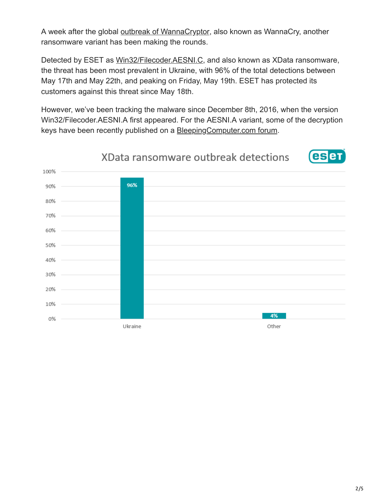A week after the global [outbreak of WannaCryptor,](https://www.welivesecurity.com/2017/05/13/wanna-cryptor-ransomware-outbreak/) also known as WannaCry, another ransomware variant has been making the rounds.

Detected by ESET as [Win32/Filecoder.AESNI.C](http://virusradar.com/en/Win32_Filecoder.AESNI.C/description), and also known as XData ransomware, the threat has been most prevalent in Ukraine, with 96% of the total detections between May 17th and May 22th, and peaking on Friday, May 19th. ESET has protected its customers against this threat since May 18th.

However, we've been tracking the malware since December 8th, 2016, when the version Win32/Filecoder.AESNI.A first appeared. For the AESNI.A variant, some of the decryption keys have been recently published on a [BleepingComputer.com forum.](https://www.bleepingcomputer.com/forums/t/635140/aes-ransomware-aes256-aes-ni-read-this-importanttxt-support-topic/?p=4244376)

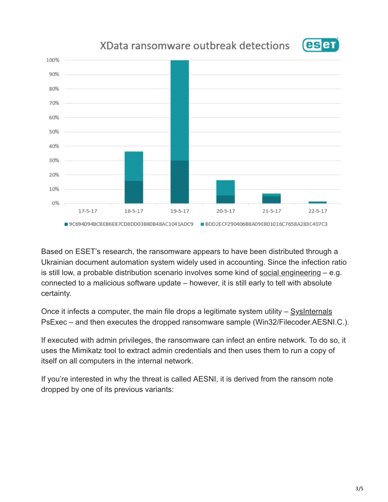

## XData ransomware outbreak detections



Based on ESET's research, the ransomware appears to have been distributed through a Ukrainian document automation system widely used in accounting. Since the infection ratio is still low, a probable distribution scenario involves some kind of [social engineering](https://www.welivesecurity.com/2015/12/30/5-things-need-know-social-engineering/) – e.g. connected to a malicious software update – however, it is still early to tell with absolute certainty.

Once it infects a computer, the main file drops a legitimate system utility  $-$  [SysInternals](https://en.wikipedia.org/wiki/Sysinternals) PsExec – and then executes the dropped ransomware sample (Win32/Filecoder.AESNI.C.).

If executed with admin privileges, the ransomware can infect an entire network. To do so, it uses the Mimikatz tool to extract admin credentials and then uses them to run a copy of itself on all computers in the internal network.

If you're interested in why the threat is called AESNI, it is derived from the ransom note dropped by one of its previous variants: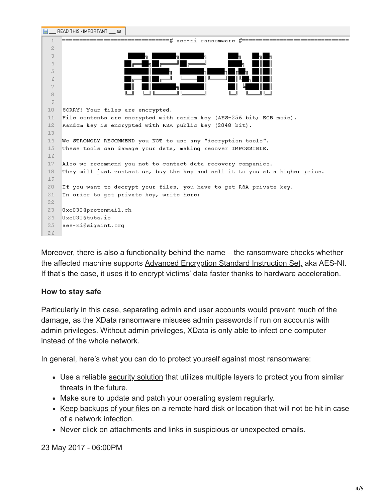

Moreover, there is also a functionality behind the name – the ransomware checks whether the affected machine supports [Advanced Encryption Standard Instruction Set,](https://en.wikipedia.org/wiki/AES_instruction_set) aka AES-NI. If that's the case, it uses it to encrypt victims' data faster thanks to hardware acceleration.

## **How to stay safe**

Particularly in this case, separating admin and user accounts would prevent much of the damage, as the XData ransomware misuses admin passwords if run on accounts with admin privileges. Without admin privileges, XData is only able to infect one computer instead of the whole network.

In general, here's what you can do to protect yourself against most ransomware:

- Use a reliable [security solution](https://www.eset.com/int/home/internet-security/) that utilizes multiple layers to protect you from similar threats in the future.
- Make sure to update and patch your operating system regularly.
- [Keep backups of your files](https://www.welivesecurity.com/2016/03/31/ransomware-threat-highlights-why-backing-up-data-is-essential/) on a remote hard disk or location that will not be hit in case of a network infection.
- Never click on attachments and links in suspicious or unexpected emails.

23 May 2017 - 06:00PM